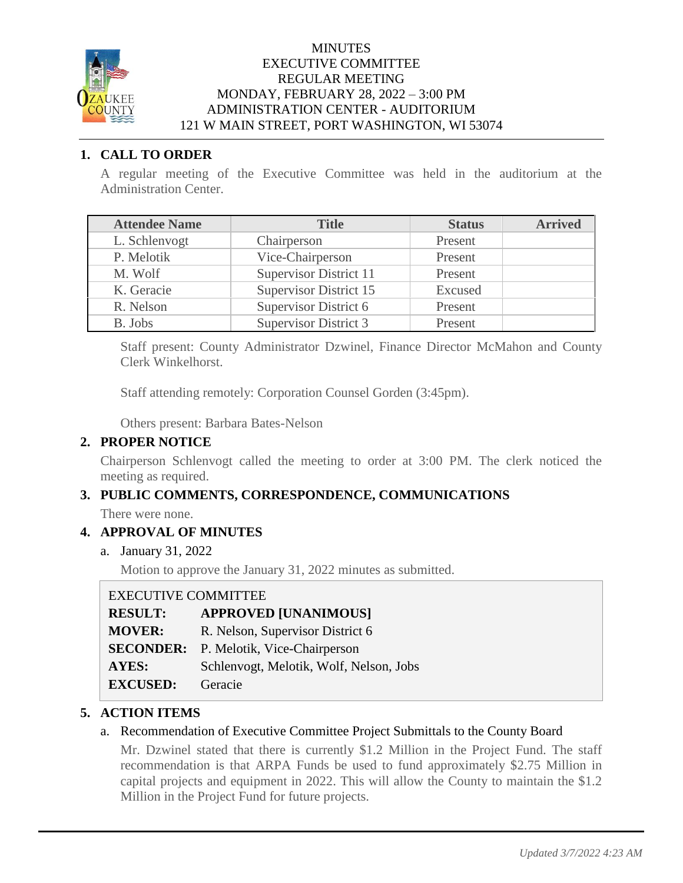

#### **MINUTES** EXECUTIVE COMMITTEE REGULAR MEETING MONDAY, FEBRUARY 28, 2022 – 3:00 PM ADMINISTRATION CENTER - AUDITORIUM 121 W MAIN STREET, PORT WASHINGTON, WI 53074

# **1. CALL TO ORDER**

A regular meeting of the Executive Committee was held in the auditorium at the Administration Center.

| <b>Attendee Name</b> | <b>Title</b>                  | <b>Status</b> | <b>Arrived</b> |
|----------------------|-------------------------------|---------------|----------------|
| L. Schlenvogt        | Chairperson                   | Present       |                |
| P. Melotik           | Vice-Chairperson              | Present       |                |
| M. Wolf              | <b>Supervisor District 11</b> | Present       |                |
| K. Geracie           | Supervisor District 15        | Excused       |                |
| R. Nelson            | Supervisor District 6         | Present       |                |
| B. Jobs              | <b>Supervisor District 3</b>  | Present       |                |

Staff present: County Administrator Dzwinel, Finance Director McMahon and County Clerk Winkelhorst.

Staff attending remotely: Corporation Counsel Gorden (3:45pm).

Others present: Barbara Bates-Nelson

# **2. PROPER NOTICE**

Chairperson Schlenvogt called the meeting to order at 3:00 PM. The clerk noticed the meeting as required.

# **3. PUBLIC COMMENTS, CORRESPONDENCE, COMMUNICATIONS**

There were none.

# **4. APPROVAL OF MINUTES**

a. January 31, 2022

Motion to approve the January 31, 2022 minutes as submitted.

# EXECUTIVE COMMITTEE

| <b>RESULT:</b>  | <b>APPROVED [UNANIMOUS]</b>                   |
|-----------------|-----------------------------------------------|
| <b>MOVER:</b>   | R. Nelson, Supervisor District 6              |
|                 | <b>SECONDER:</b> P. Melotik, Vice-Chairperson |
| AYES:           | Schlenvogt, Melotik, Wolf, Nelson, Jobs       |
| <b>EXCUSED:</b> | Geracie                                       |

# **5. ACTION ITEMS**

# a. Recommendation of Executive Committee Project Submittals to the County Board

Mr. Dzwinel stated that there is currently \$1.2 Million in the Project Fund. The staff recommendation is that ARPA Funds be used to fund approximately \$2.75 Million in capital projects and equipment in 2022. This will allow the County to maintain the \$1.2 Million in the Project Fund for future projects.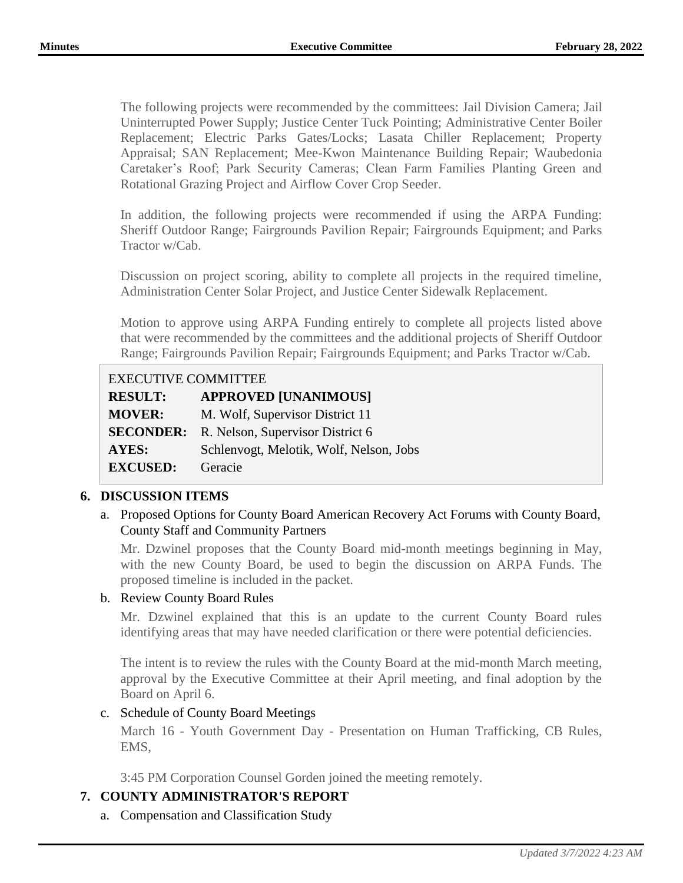The following projects were recommended by the committees: Jail Division Camera; Jail Uninterrupted Power Supply; Justice Center Tuck Pointing; Administrative Center Boiler Replacement; Electric Parks Gates/Locks; Lasata Chiller Replacement; Property Appraisal; SAN Replacement; Mee-Kwon Maintenance Building Repair; Waubedonia Caretaker's Roof; Park Security Cameras; Clean Farm Families Planting Green and Rotational Grazing Project and Airflow Cover Crop Seeder.

In addition, the following projects were recommended if using the ARPA Funding: Sheriff Outdoor Range; Fairgrounds Pavilion Repair; Fairgrounds Equipment; and Parks Tractor w/Cab.

Discussion on project scoring, ability to complete all projects in the required timeline, Administration Center Solar Project, and Justice Center Sidewalk Replacement.

Motion to approve using ARPA Funding entirely to complete all projects listed above that were recommended by the committees and the additional projects of Sheriff Outdoor Range; Fairgrounds Pavilion Repair; Fairgrounds Equipment; and Parks Tractor w/Cab.

# EXECUTIVE COMMITTEE

| <b>RESULT:</b>  | <b>APPROVED [UNANIMOUS]</b>                       |
|-----------------|---------------------------------------------------|
| <b>MOVER:</b>   | M. Wolf, Supervisor District 11                   |
|                 | <b>SECONDER:</b> R. Nelson, Supervisor District 6 |
| <b>AYES:</b>    | Schlenvogt, Melotik, Wolf, Nelson, Jobs           |
| <b>EXCUSED:</b> | Geracie                                           |

# **6. DISCUSSION ITEMS**

a. Proposed Options for County Board American Recovery Act Forums with County Board, County Staff and Community Partners

Mr. Dzwinel proposes that the County Board mid-month meetings beginning in May, with the new County Board, be used to begin the discussion on ARPA Funds. The proposed timeline is included in the packet.

#### b. Review County Board Rules

Mr. Dzwinel explained that this is an update to the current County Board rules identifying areas that may have needed clarification or there were potential deficiencies.

The intent is to review the rules with the County Board at the mid-month March meeting, approval by the Executive Committee at their April meeting, and final adoption by the Board on April 6.

#### c. Schedule of County Board Meetings

March 16 - Youth Government Day - Presentation on Human Trafficking, CB Rules, EMS,

3:45 PM Corporation Counsel Gorden joined the meeting remotely.

# **7. COUNTY ADMINISTRATOR'S REPORT**

a. Compensation and Classification Study